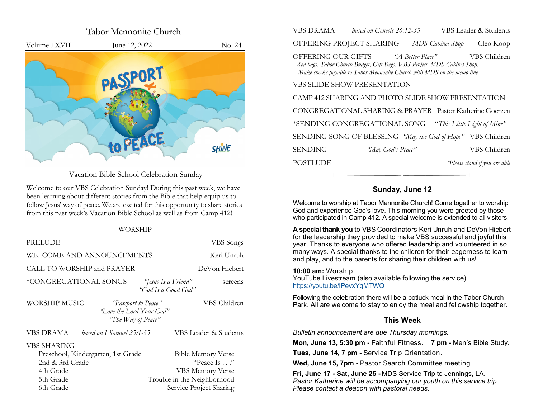<span id="page-0-0"></span>

Vacation Bible School Celebration Sunday

Welcome to our VBS Celebration Sunday! During this past week, we have been learning about different stories from the Bible that help equip us to follow Jesus' way of peace. We are excited for this opportunity to share stories from this past week's Vacation Bible School as well as from Camp 412!

#### WORSHIP

| PRELUDE                                                                                                     | VBS Songs                                                                                                                    |  |  |
|-------------------------------------------------------------------------------------------------------------|------------------------------------------------------------------------------------------------------------------------------|--|--|
| WELCOME AND ANNOUNCEMENTS                                                                                   | Keri Unruh                                                                                                                   |  |  |
| CALL TO WORSHIP and PRAYER                                                                                  | DeVon Hiebert                                                                                                                |  |  |
| *CONGREGATIONAL SONGS<br>"Jesus Is a Friend"<br>screens<br>"God Is a Good God"                              |                                                                                                                              |  |  |
| WORSHIP MUSIC<br>VBS Children<br>"Passport to Peace"<br>"Love the Lord Your God"<br>"The Way of Peace"      |                                                                                                                              |  |  |
| VBS DRAMA<br>based on I Samuel 25:1-35                                                                      | VBS Leader & Students                                                                                                        |  |  |
| VBS SHARING<br>Preschool, Kindergarten, 1st Grade<br>2nd & 3rd Grade<br>4th Grade<br>5th Grade<br>6th Grade | <b>Bible Memory Verse</b><br>"Peace Is"<br><b>VBS Memory Verse</b><br>Trouble in the Neighborhood<br>Service Project Sharing |  |  |

| VBS DRAMA      | based on Genesis 26:12-33                                                                                                                                                                   |                  | VBS Leader & Students         |
|----------------|---------------------------------------------------------------------------------------------------------------------------------------------------------------------------------------------|------------------|-------------------------------|
|                | OFFERING PROJECT SHARING                                                                                                                                                                    | MDS Cabinet Shop | Cleo Koop                     |
|                | OFFERING OUR GIFTS "A Better Place"<br>Red bags: Tabor Church Budget; Gift Bags: VBS Project, MDS Cabinet Shop.<br>Make checks payable to Tabor Mennonite Church with MDS on the memo line. |                  | VBS Children                  |
|                | VBS SLIDE SHOW PRESENTATION                                                                                                                                                                 |                  |                               |
|                | CAMP 412 SHARING AND PHOTO SLIDE SHOW PRESENTATION                                                                                                                                          |                  |                               |
|                | CONGREGATIONAL SHARING & PRAYER Pastor Katherine Goerzen                                                                                                                                    |                  |                               |
|                | *SENDING CONGREGATIONAL SONG "This Little Light of Mine"                                                                                                                                    |                  |                               |
|                | SENDING SONG OF BLESSING "May the God of Hope" VBS Children                                                                                                                                 |                  |                               |
| <b>SENDING</b> | "May God's Peace"                                                                                                                                                                           |                  | VBS Children                  |
| POSTLUDE       |                                                                                                                                                                                             |                  | *Please stand if you are able |

## **Sunday, June 12**

Welcome to worship at Tabor Mennonite Church! Come together to worship God and experience God's love. This morning you were greeted by those who participated in Camp 412. A special welcome is extended to all visitors.

**A special thank you** to VBS Coordinators Keri Unruh and DeVon Hiebert for the leadership they provided to make VBS successful and joyful this year. Thanks to everyone who offered leadership and volunteered in so many ways. A special thanks to the children for their eagerness to learn and play, and to the parents for sharing their children with us!

**10:00 am:** Worship YouTube Livestream (also available following the service). [https://youtu.be/IPevxYqMTWQ](#page-0-0)

Following the celebration there will be a potluck meal in the Tabor Church Park. All are welcome to stay to enjoy the meal and fellowship together.

## **This Week**

*Bulletin announcement are due Thursday mornings.*

**Mon, June 13, 5:30 pm -** Faithful Fitness. **7 pm -** Men's Bible Study.

**Tues, June 14, 7 pm -** Service Trip Orientation.

**Wed, June 15, 7pm -** Pastor Search Committee meeting.

**Fri, June 17 - Sat, June 25 -** MDS Service Trip to Jennings, LA. *Pastor Katherine will be accompanying our youth on this service trip. Please contact a deacon with pastoral needs.*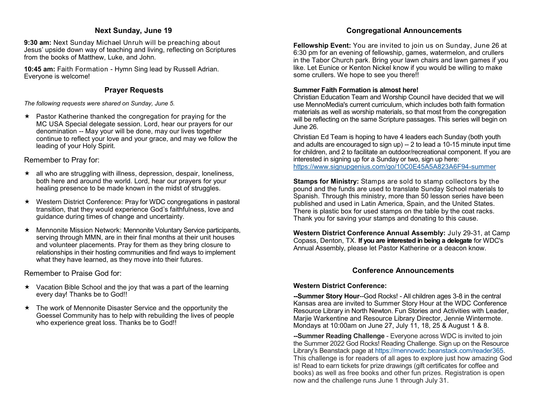## **Next Sunday, June 19**

<span id="page-1-0"></span>**9:30 am:** Next Sunday Michael Unruh will be preaching about Jesus' upside down way of teaching and living, reflecting on Scriptures from the books of Matthew, Luke, and John.

**10:45 am:** Faith Formation - Hymn Sing lead by Russell Adrian. Everyone is welcome!

## **Prayer Requests**

*The following requests were shared on Sunday, June 5.*

 $\star$  Pastor Katherine thanked the congregation for praying for the MC USA Special delegate session. Lord, hear our prayers for our denomination -- May your will be done, may our lives together continue to reflect your love and your grace, and may we follow the leading of your Holy Spirit.

Remember to Pray for:

- $\star$  all who are struggling with illness, depression, despair, loneliness, both here and around the world. Lord, hear our prayers for your healing presence to be made known in the midst of struggles.
- Western District Conference: Pray for WDC congregations in pastoral transition, that they would experience God's faithfulness, love and guidance during times of change and uncertainty.
- $\star$  Mennonite Mission Network: Mennonite Voluntary Service participants, serving through MMN, are in their final months at their unit houses and volunteer placements. Pray for them as they bring closure to relationships in their hosting communities and find ways to implement what they have learned, as they move into their futures.

Remember to Praise God for:

- $\star$  Vacation Bible School and the joy that was a part of the learning every day! Thanks be to God!!
- $\star$  The work of Mennonite Disaster Service and the opportunity the Goessel Community has to help with rebuilding the lives of people who experience great loss. Thanks be to God!!

# **Congregational Announcements**

**Fellowship Event:** You are invited to join us on Sunday, June 26 at 6:30 pm for an evening of fellowship, games, watermelon, and crullers in the Tabor Church park. Bring your lawn chairs and lawn games if you like. Let Eunice or Kenton Nickel know if you would be willing to make some crullers. We hope to see you there!!

## **Summer Faith Formation is almost here!**

Christian Education Team and Worship Council have decided that we will use MennoMedia's current curriculum, which includes both faith formation materials as well as worship materials, so that most from the congregation will be reflecting on the same Scripture passages. This series will begin on June 26.

Christian Ed Team is hoping to have 4 leaders each Sunday (both youth and adults are encouraged to sign up)  $-2$  to lead a 10-15 minute input time for children, and 2 to facilitate an outdoor/recreational component. If you are interested in signing up for a Sunday or two, sign up here: [https://www.signupgenius.com/go/10C0E45A5A823A6F94](https://www.signupgenius.com/go/10C0E45A5A823A6F94-summer)-summer

**Stamps for Ministry:** Stamps are sold to stamp collectors by the pound and the funds are used to translate Sunday School materials to Spanish. Through this ministry, more than 50 lesson series have been published and used in Latin America, Spain, and the United States. There is plastic box for used stamps on the table by the coat racks. Thank you for saving your stamps and donating to this cause.

**Western District Conference Annual Assembly:** July 29-31, at Camp Copass, Denton, TX. **If you are interested in being a delegate** for WDC's Annual Assembly, please let Pastor Katherine or a deacon know.

## **Conference Announcements**

## **Western District Conference:**

**--Summer Story Hour**--God Rocks! - All children ages 3-8 in the central Kansas area are invited to Summer Story Hour at the WDC Conference Resource Library in North Newton. Fun Stories and Activities with Leader, Marjie Warkentine and Resource Library Director, Jennie Wintermote. Mondays at 10:00am on June 27, July 11, 18, 25 & August 1 & 8.

**--Summer Reading Challenge** - Everyone across WDC is invited to join the Summer 2022 God Rocks! Reading Challenge. Sign up on the Resource Library's Beanstack page at [https://mennowdc.beanstack.com/reader365.](https://mennowdc.us5.list-manage.com/track/click?u=3915f468965d9af14d0f614cb&id=7919616dc6&e=58169205e4) This challenge is for readers of all ages to explore just how amazing God is! Read to earn tickets for prize drawings (gift certificates for coffee and books) as well as free books and other fun prizes. Registration is open now and the challenge runs June 1 through July 31.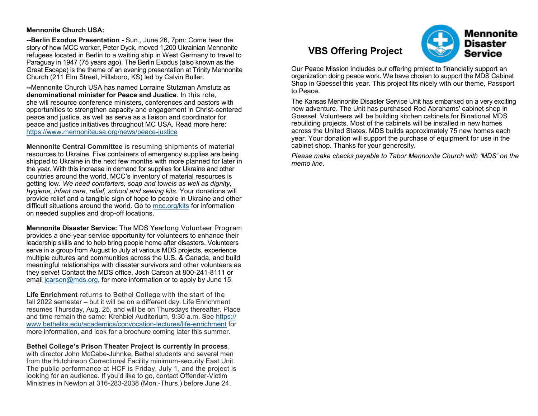#### <span id="page-2-0"></span>**Mennonite Church USA:**

**--Berlin Exodus Presentation -** Sun., June 26, 7pm: Come hear the story of how MCC worker, Peter Dyck, moved 1,200 Ukrainian Mennonite refugees located in Berlin to a waiting ship in West Germany to travel to Paraguay in 1947 (75 years ago). The Berlin Exodus (also known as the Great Escape) is the theme of an evening presentation at Trinity Mennonite Church (211 Elm Street, Hillsboro, KS) led by Calvin Buller.

**--**Mennonite Church USA has named Lorraine Stutzman Amstutz as **denominational minister for Peace and Justice**. In this role, she will resource conference ministers, conferences and pastors with opportunities to strengthen capacity and engagement in Christ-centered peace and justice, as well as serve as a liaison and coordinator for peace and justice initiatives throughout MC USA. Read more here: [https://www.mennoniteusa.org/news/peace](#page-1-0)-justice

**Mennonite Central Committee** is resuming shipments of material resources to Ukraine. Five containers of emergency supplies are being shipped to Ukraine in the next few months with more planned for later in the year. With this increase in demand for supplies for Ukraine and other countries around the world, MCC's inventory of material resources is getting low. *We need comforters, soap and towels as well as dignity, hygiene, infant care, relief, school and sewing kits.* Your donations will provide relief and a tangible sign of hope to people in Ukraine and other difficult situations around the world. Go to [mcc.org/kits](https://mcc.org/get-involved/kits) for information on needed supplies and drop-off locations.

**Mennonite Disaster Service:** The MDS Yearlong Volunteer Program provides a one-year service opportunity for volunteers to enhance their leadership skills and to help bring people home after disasters. Volunteers serve in a group from August to July at various MDS projects, experience multiple cultures and communities across the U.S. & Canada, and build meaningful relationships with disaster survivors and other volunteers as they serve! Contact the MDS office, Josh Carson at 800-241-8111 or email [jcarson@mds.org,](#page-2-0) for more information or to apply by June 15.

**Life Enrichment** returns to Bethel College with the start of the fall 2022 semester – but it will be on a different day. Life Enrichment resumes Thursday, Aug. 25, and will be on Thursdays thereafter. Place and time remain the same: Krehbiel Auditorium, 9:30 a.m. See [https://](https://www.bethelks.edu/academics/convocation-lectures/life-enrichment) [www.bethelks.edu/academics/convocation](https://www.bethelks.edu/academics/convocation-lectures/life-enrichment)-lectures/life-enrichment for more information, and look for a brochure coming later this summer.

#### **Bethel College's Prison Theater Project is currently in process**,

with director John McCabe-Juhnke, Bethel students and several men from the Hutchinson Correctional Facility minimum-security East Unit. The public performance at HCF is Friday, July 1, and the project is looking for an audience. If you'd like to go, contact Offender-Victim Ministries in Newton at 316-283-2038 (Mon.-Thurs.) before June 24.

# **VBS Offering Project**

Our Peace Mission includes our offering project to financially support an organization doing peace work. We have chosen to support the MDS Cabinet Shop in Goessel this year. This project fits nicely with our theme, Passport to Peace.

The Kansas Mennonite Disaster Service Unit has embarked on a very exciting new adventure. The Unit has purchased Rod Abrahams' cabinet shop in Goessel. Volunteers will be building kitchen cabinets for Binational MDS rebuilding projects. Most of the cabinets will be installed in new homes across the United States. MDS builds approximately 75 new homes each year. Your donation will support the purchase of equipment for use in the cabinet shop. Thanks for your generosity.

*Please make checks payable to Tabor Mennonite Church with 'MDS' on the memo line.*